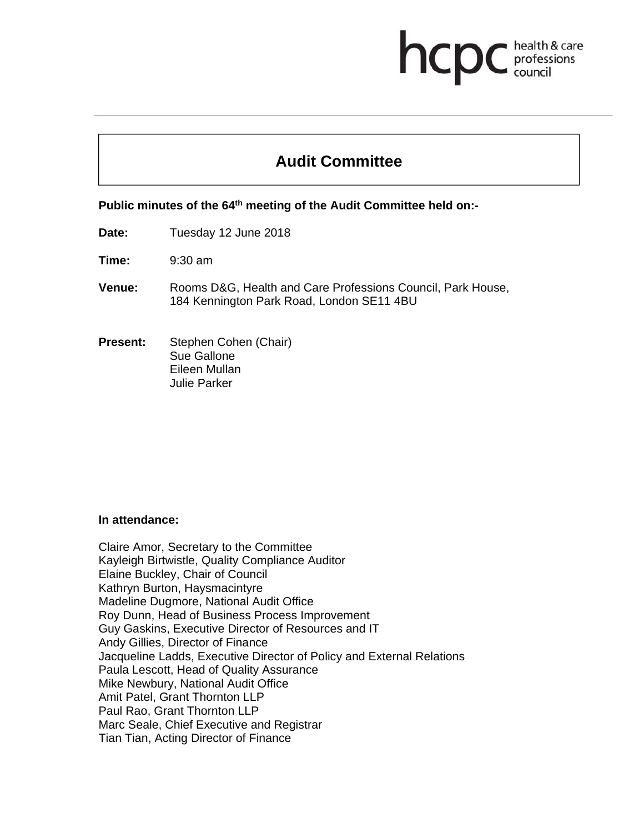# **Audit Committee**

health & care

professions<br>council

hcp

**Public minutes of the 64th meeting of the Audit Committee held on:-** 

**Date:** Tuesday 12 June 2018

**Time:** 9:30 am

- **Venue:** Rooms D&G, Health and Care Professions Council, Park House, 184 Kennington Park Road, London SE11 4BU
- **Present:** Stephen Cohen (Chair) Sue Gallone Eileen Mullan Julie Parker

#### **In attendance:**

Claire Amor, Secretary to the Committee Kayleigh Birtwistle, Quality Compliance Auditor Elaine Buckley, Chair of Council Kathryn Burton, Haysmacintyre Madeline Dugmore, National Audit Office Roy Dunn, Head of Business Process Improvement Guy Gaskins, Executive Director of Resources and IT Andy Gillies, Director of Finance Jacqueline Ladds, Executive Director of Policy and External Relations Paula Lescott, Head of Quality Assurance Mike Newbury, National Audit Office Amit Patel, Grant Thornton LLP Paul Rao, Grant Thornton LLP Marc Seale, Chief Executive and Registrar Tian Tian, Acting Director of Finance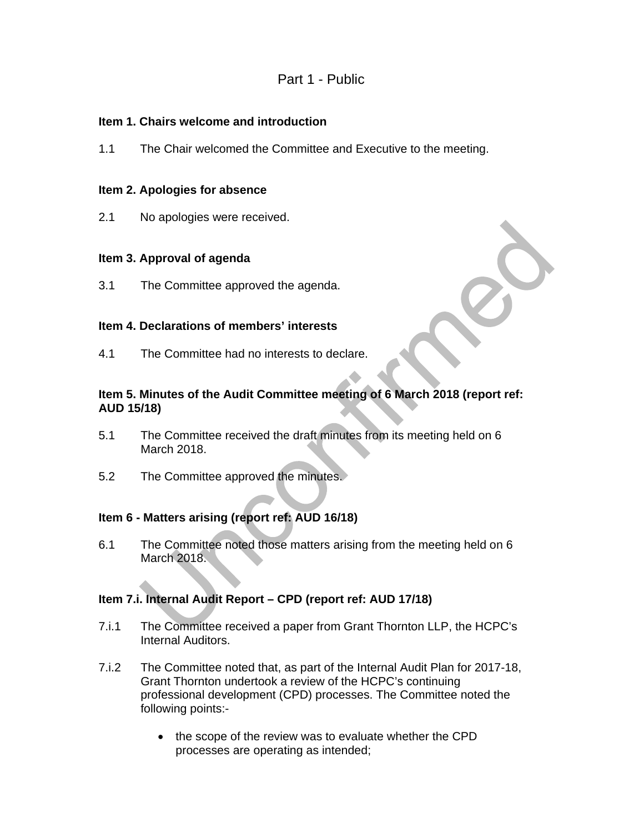# Part 1 - Public

#### **Item 1. Chairs welcome and introduction**

1.1 The Chair welcomed the Committee and Executive to the meeting.

#### **Item 2. Apologies for absence**

2.1 No apologies were received.

#### **Item 3. Approval of agenda**

3.1 The Committee approved the agenda.

#### **Item 4. Declarations of members' interests**

4.1 The Committee had no interests to declare.

## **Item 5. Minutes of the Audit Committee meeting of 6 March 2018 (report ref: AUD 15/18)**

- 5.1 The Committee received the draft minutes from its meeting held on 6 March 2018.
- 5.2 The Committee approved the minutes.

#### **Item 6 - Matters arising (report ref: AUD 16/18)**

6.1 The Committee noted those matters arising from the meeting held on 6 March 2018.

#### **Item 7.i. Internal Audit Report – CPD (report ref: AUD 17/18)**

- 7.i.1 The Committee received a paper from Grant Thornton LLP, the HCPC's Internal Auditors.
- 7.i.2 The Committee noted that, as part of the Internal Audit Plan for 2017-18, Grant Thornton undertook a review of the HCPC's continuing professional development (CPD) processes. The Committee noted the following points:-
	- the scope of the review was to evaluate whether the CPD processes are operating as intended;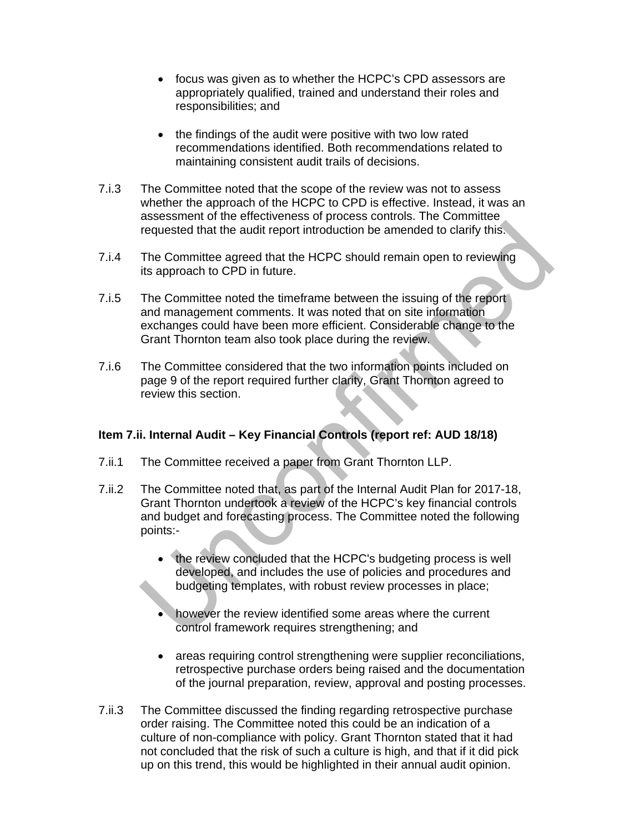- focus was given as to whether the HCPC's CPD assessors are appropriately qualified, trained and understand their roles and responsibilities; and
- the findings of the audit were positive with two low rated recommendations identified. Both recommendations related to maintaining consistent audit trails of decisions.
- 7.i.3 The Committee noted that the scope of the review was not to assess whether the approach of the HCPC to CPD is effective. Instead, it was an assessment of the effectiveness of process controls. The Committee requested that the audit report introduction be amended to clarify this.
- 7.i.4 The Committee agreed that the HCPC should remain open to reviewing its approach to CPD in future.
- 7.i.5 The Committee noted the timeframe between the issuing of the report and management comments. It was noted that on site information exchanges could have been more efficient. Considerable change to the Grant Thornton team also took place during the review.
- 7.i.6 The Committee considered that the two information points included on page 9 of the report required further clarity, Grant Thornton agreed to review this section.

# **Item 7.ii. Internal Audit – Key Financial Controls (report ref: AUD 18/18)**

- 7.ii.1 The Committee received a paper from Grant Thornton LLP.
- 7.ii.2 The Committee noted that, as part of the Internal Audit Plan for 2017-18, Grant Thornton undertook a review of the HCPC's key financial controls and budget and forecasting process. The Committee noted the following points:-
	- the review concluded that the HCPC's budgeting process is well developed, and includes the use of policies and procedures and budgeting templates, with robust review processes in place;
	- however the review identified some areas where the current control framework requires strengthening; and
	- areas requiring control strengthening were supplier reconciliations, retrospective purchase orders being raised and the documentation of the journal preparation, review, approval and posting processes.
- 7.ii.3 The Committee discussed the finding regarding retrospective purchase order raising. The Committee noted this could be an indication of a culture of non-compliance with policy. Grant Thornton stated that it had not concluded that the risk of such a culture is high, and that if it did pick up on this trend, this would be highlighted in their annual audit opinion.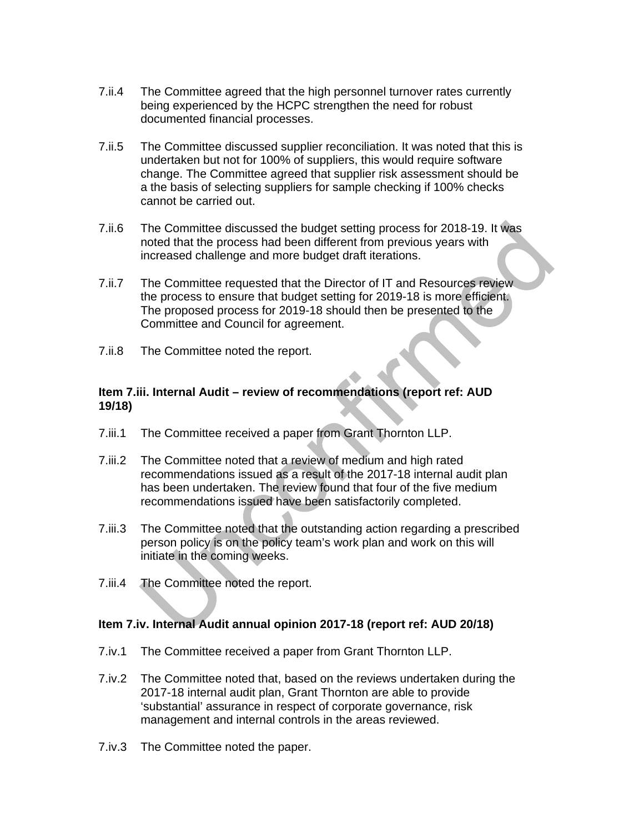- 7.ii.4 The Committee agreed that the high personnel turnover rates currently being experienced by the HCPC strengthen the need for robust documented financial processes.
- 7.ii.5 The Committee discussed supplier reconciliation. It was noted that this is undertaken but not for 100% of suppliers, this would require software change. The Committee agreed that supplier risk assessment should be a the basis of selecting suppliers for sample checking if 100% checks cannot be carried out.
- 7.ii.6 The Committee discussed the budget setting process for 2018-19. It was noted that the process had been different from previous years with increased challenge and more budget draft iterations.
- 7.ii.7 The Committee requested that the Director of IT and Resources review the process to ensure that budget setting for 2019-18 is more efficient. The proposed process for 2019-18 should then be presented to the Committee and Council for agreement.
- 7.ii.8 The Committee noted the report.

#### **Item 7.iii. Internal Audit – review of recommendations (report ref: AUD 19/18)**

- 7.iii.1 The Committee received a paper from Grant Thornton LLP.
- 7.iii.2 The Committee noted that a review of medium and high rated recommendations issued as a result of the 2017-18 internal audit plan has been undertaken. The review found that four of the five medium recommendations issued have been satisfactorily completed.
- 7.iii.3 The Committee noted that the outstanding action regarding a prescribed person policy is on the policy team's work plan and work on this will initiate in the coming weeks.
- 7.iii.4 The Committee noted the report.

#### **Item 7.iv. Internal Audit annual opinion 2017-18 (report ref: AUD 20/18)**

- 7.iv.1 The Committee received a paper from Grant Thornton LLP.
- 7.iv.2 The Committee noted that, based on the reviews undertaken during the 2017-18 internal audit plan, Grant Thornton are able to provide 'substantial' assurance in respect of corporate governance, risk management and internal controls in the areas reviewed.
- 7.iv.3 The Committee noted the paper.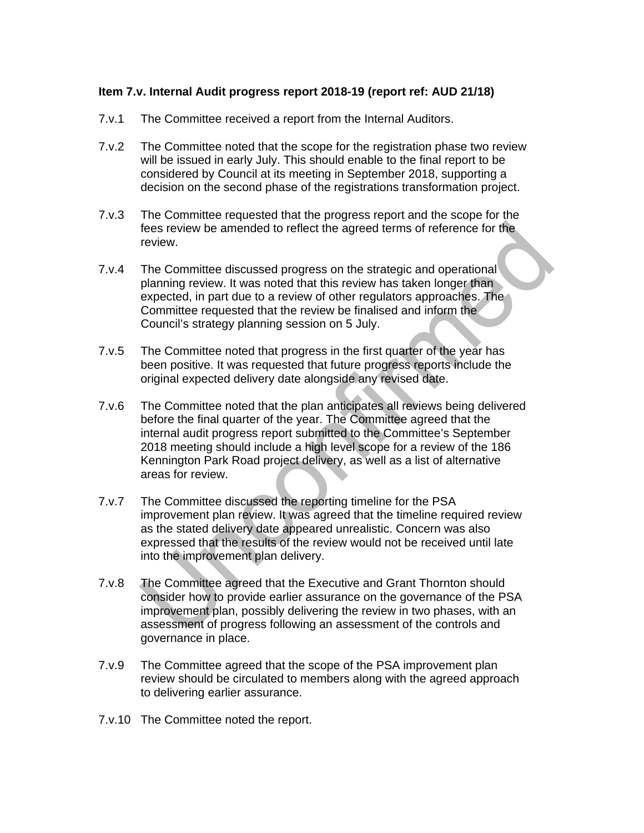#### **Item 7.v. Internal Audit progress report 2018-19 (report ref: AUD 21/18)**

- 7.v.1 The Committee received a report from the Internal Auditors.
- 7.v.2 The Committee noted that the scope for the registration phase two review will be issued in early July. This should enable to the final report to be considered by Council at its meeting in September 2018, supporting a decision on the second phase of the registrations transformation project.
- 7.v.3 The Committee requested that the progress report and the scope for the fees review be amended to reflect the agreed terms of reference for the review.
- 7.v.4 The Committee discussed progress on the strategic and operational planning review. It was noted that this review has taken longer than expected, in part due to a review of other regulators approaches. The Committee requested that the review be finalised and inform the Council's strategy planning session on 5 July.
- 7.v.5 The Committee noted that progress in the first quarter of the year has been positive. It was requested that future progress reports include the original expected delivery date alongside any revised date.
- 7.v.6 The Committee noted that the plan anticipates all reviews being delivered before the final quarter of the year. The Committee agreed that the internal audit progress report submitted to the Committee's September 2018 meeting should include a high level scope for a review of the 186 Kennington Park Road project delivery, as well as a list of alternative areas for review.
- 7.v.7 The Committee discussed the reporting timeline for the PSA improvement plan review. It was agreed that the timeline required review as the stated delivery date appeared unrealistic. Concern was also expressed that the results of the review would not be received until late into the improvement plan delivery.
- 7.v.8 The Committee agreed that the Executive and Grant Thornton should consider how to provide earlier assurance on the governance of the PSA improvement plan, possibly delivering the review in two phases, with an assessment of progress following an assessment of the controls and governance in place.
- 7.v.9 The Committee agreed that the scope of the PSA improvement plan review should be circulated to members along with the agreed approach to delivering earlier assurance.
- 7.v.10 The Committee noted the report.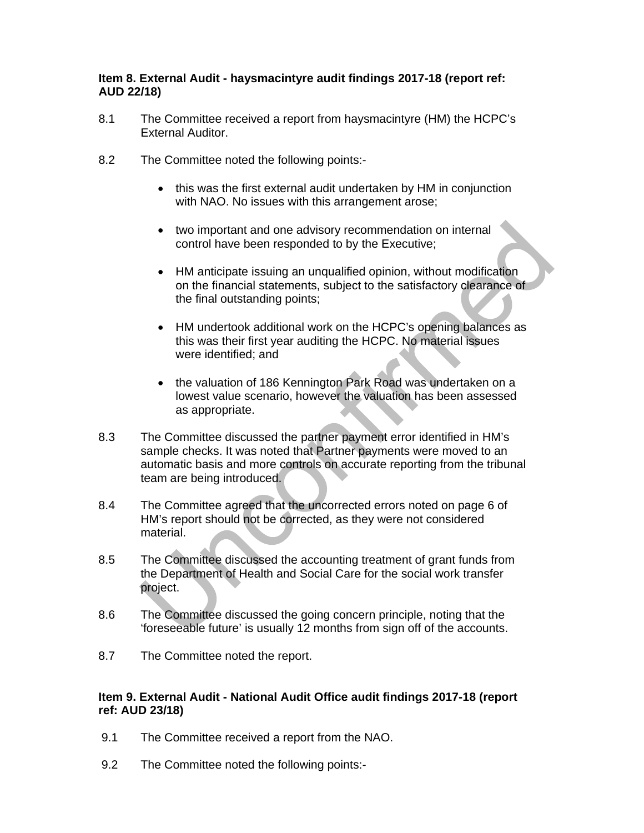#### **Item 8. External Audit - haysmacintyre audit findings 2017-18 (report ref: AUD 22/18)**

- 8.1 The Committee received a report from haysmacintyre (HM) the HCPC's External Auditor.
- 8.2 The Committee noted the following points:
	- this was the first external audit undertaken by HM in conjunction with NAO. No issues with this arrangement arose;
	- two important and one advisory recommendation on internal control have been responded to by the Executive;
	- HM anticipate issuing an unqualified opinion, without modification on the financial statements, subject to the satisfactory clearance of the final outstanding points;
	- HM undertook additional work on the HCPC's opening balances as this was their first year auditing the HCPC. No material issues were identified; and
	- the valuation of 186 Kennington Park Road was undertaken on a lowest value scenario, however the valuation has been assessed as appropriate.
- 8.3 The Committee discussed the partner payment error identified in HM's sample checks. It was noted that Partner payments were moved to an automatic basis and more controls on accurate reporting from the tribunal team are being introduced.
- 8.4 The Committee agreed that the uncorrected errors noted on page 6 of HM's report should not be corrected, as they were not considered material.
- 8.5 The Committee discussed the accounting treatment of grant funds from the Department of Health and Social Care for the social work transfer project.
- 8.6 The Committee discussed the going concern principle, noting that the 'foreseeable future' is usually 12 months from sign off of the accounts.
- 8.7 The Committee noted the report.

#### **Item 9. External Audit - National Audit Office audit findings 2017-18 (report ref: AUD 23/18)**

- 9.1 The Committee received a report from the NAO.
- 9.2 The Committee noted the following points:-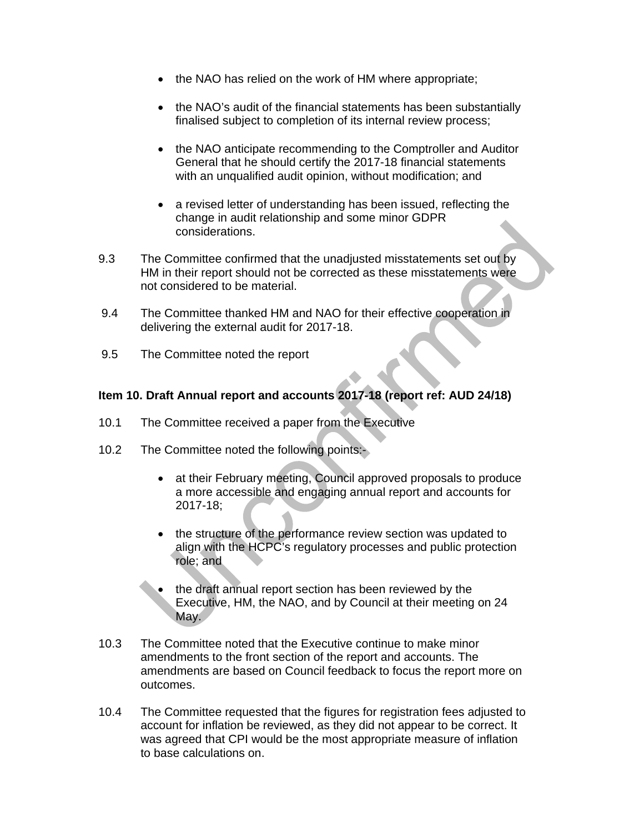- the NAO has relied on the work of HM where appropriate;
- the NAO's audit of the financial statements has been substantially finalised subject to completion of its internal review process;
- the NAO anticipate recommending to the Comptroller and Auditor General that he should certify the 2017-18 financial statements with an unqualified audit opinion, without modification; and
- a revised letter of understanding has been issued, reflecting the change in audit relationship and some minor GDPR considerations.
- 9.3 The Committee confirmed that the unadjusted misstatements set out by HM in their report should not be corrected as these misstatements were not considered to be material.
- 9.4 The Committee thanked HM and NAO for their effective cooperation in delivering the external audit for 2017-18.
- 9.5 The Committee noted the report

#### **Item 10. Draft Annual report and accounts 2017-18 (report ref: AUD 24/18)**

- 10.1 The Committee received a paper from the Executive
- 10.2 The Committee noted the following points:
	- at their February meeting, Council approved proposals to produce a more accessible and engaging annual report and accounts for 2017-18;
	- the structure of the performance review section was updated to align with the HCPC's regulatory processes and public protection role; and
	- the draft annual report section has been reviewed by the Executive, HM, the NAO, and by Council at their meeting on 24 May.
- 10.3 The Committee noted that the Executive continue to make minor amendments to the front section of the report and accounts. The amendments are based on Council feedback to focus the report more on outcomes.
- 10.4 The Committee requested that the figures for registration fees adjusted to account for inflation be reviewed, as they did not appear to be correct. It was agreed that CPI would be the most appropriate measure of inflation to base calculations on.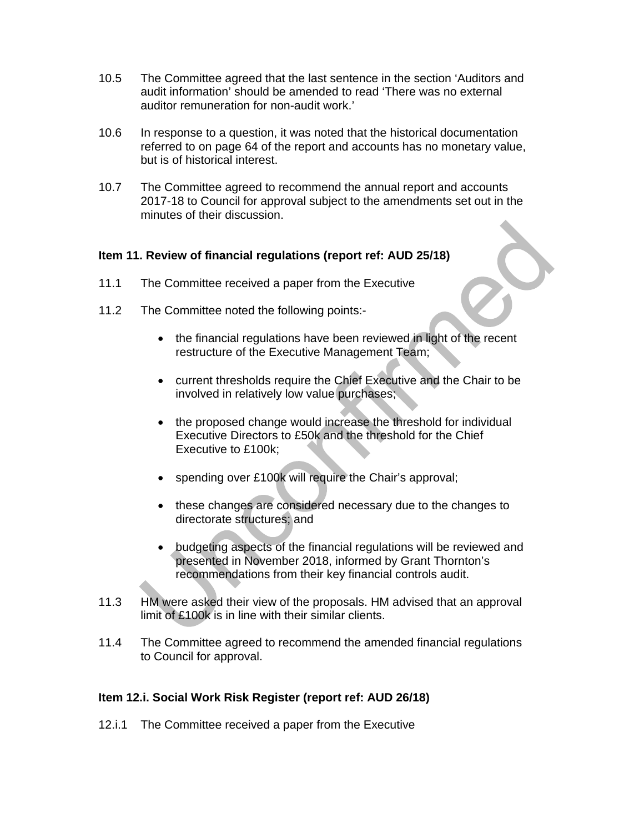- 10.5 The Committee agreed that the last sentence in the section 'Auditors and audit information' should be amended to read 'There was no external auditor remuneration for non-audit work.'
- 10.6 In response to a question, it was noted that the historical documentation referred to on page 64 of the report and accounts has no monetary value, but is of historical interest.
- 10.7 The Committee agreed to recommend the annual report and accounts 2017-18 to Council for approval subject to the amendments set out in the minutes of their discussion.

#### **Item 11. Review of financial regulations (report ref: AUD 25/18)**

- 11.1 The Committee received a paper from the Executive
- 11.2 The Committee noted the following points:-
	- the financial regulations have been reviewed in light of the recent restructure of the Executive Management Team;
	- current thresholds require the Chief Executive and the Chair to be involved in relatively low value purchases;
	- the proposed change would increase the threshold for individual Executive Directors to £50k and the threshold for the Chief Executive to £100k;
	- spending over £100k will require the Chair's approval;
	- these changes are considered necessary due to the changes to directorate structures; and
	- budgeting aspects of the financial regulations will be reviewed and presented in November 2018, informed by Grant Thornton's recommendations from their key financial controls audit.
- 11.3 HM were asked their view of the proposals. HM advised that an approval limit of £100k is in line with their similar clients.
- 11.4 The Committee agreed to recommend the amended financial regulations to Council for approval.

#### **Item 12.i. Social Work Risk Register (report ref: AUD 26/18)**

12.i.1 The Committee received a paper from the Executive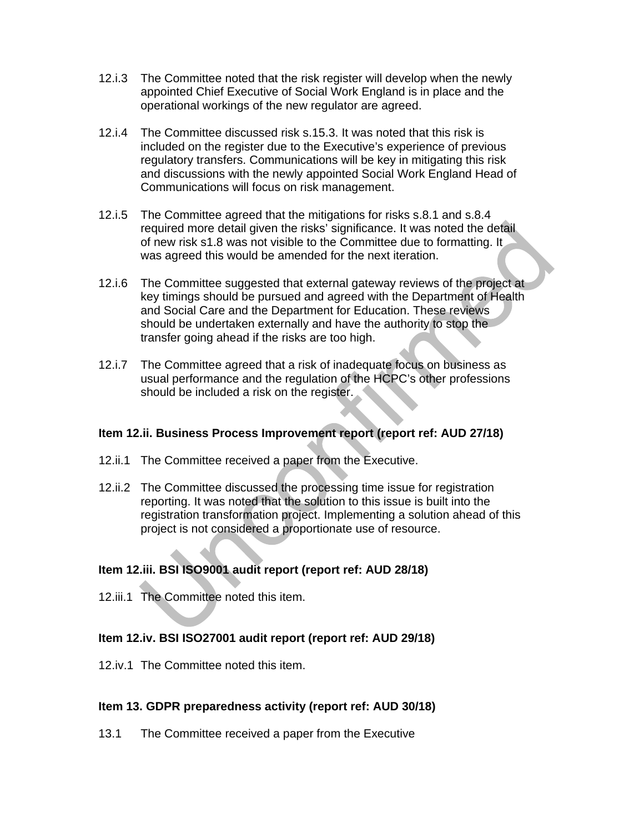- 12.i.3 The Committee noted that the risk register will develop when the newly appointed Chief Executive of Social Work England is in place and the operational workings of the new regulator are agreed.
- 12.i.4 The Committee discussed risk s.15.3. It was noted that this risk is included on the register due to the Executive's experience of previous regulatory transfers. Communications will be key in mitigating this risk and discussions with the newly appointed Social Work England Head of Communications will focus on risk management.
- 12.i.5 The Committee agreed that the mitigations for risks s.8.1 and s.8.4 required more detail given the risks' significance. It was noted the detail of new risk s1.8 was not visible to the Committee due to formatting. It was agreed this would be amended for the next iteration.
- 12.i.6 The Committee suggested that external gateway reviews of the project at key timings should be pursued and agreed with the Department of Health and Social Care and the Department for Education. These reviews should be undertaken externally and have the authority to stop the transfer going ahead if the risks are too high.
- 12.i.7 The Committee agreed that a risk of inadequate focus on business as usual performance and the regulation of the HCPC's other professions should be included a risk on the register.

#### **Item 12.ii. Business Process Improvement report (report ref: AUD 27/18)**

- 12.ii.1 The Committee received a paper from the Executive.
- 12.ii.2 The Committee discussed the processing time issue for registration reporting. It was noted that the solution to this issue is built into the registration transformation project. Implementing a solution ahead of this project is not considered a proportionate use of resource.

#### **Item 12.iii. BSI ISO9001 audit report (report ref: AUD 28/18)**

12.iii.1 The Committee noted this item.

#### **Item 12.iv. BSI ISO27001 audit report (report ref: AUD 29/18)**

12.iv.1 The Committee noted this item.

#### **Item 13. GDPR preparedness activity (report ref: AUD 30/18)**

13.1 The Committee received a paper from the Executive